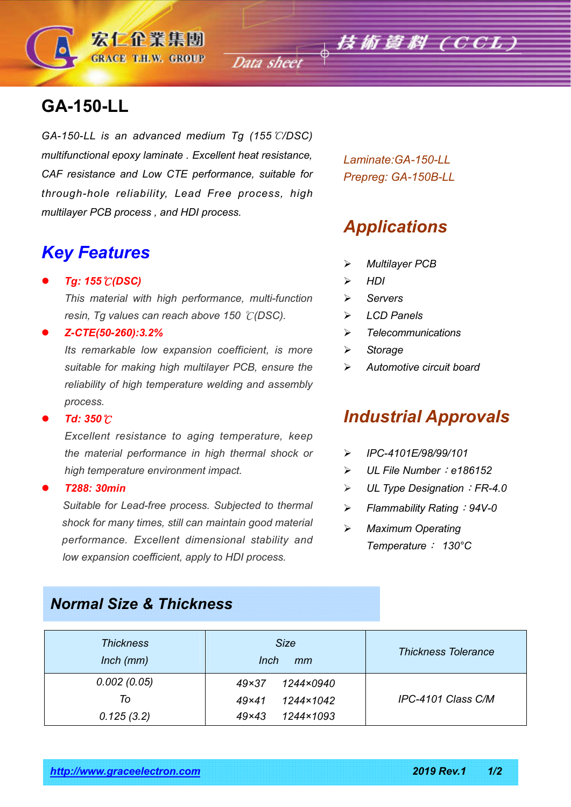Data sheet  $\phi$  **技術資料 (CCL)** 

# **GA-150-LL**

*GA-150-LL is an advanced medium Tg (155*℃*/DSC) multifunctional epoxy laminate . Excellent heat resistance, CAF resistance and Low CTE performance, suitable for through-hole reliability, Lead Free process, high multilayer PCB process , and HDI process.*

## *Key Features*

*Tg: 155*℃*(DSC)*

*This material with high performance, multi-function resin, Tg values can reach above 150* ℃*(DSC).*

#### *Z-CTE(50-260):3.2%*

*Its remarkable low expansion coefficient, is more suitable for making high multilayer PCB, ensure the reliability of high temperature welding and assembly process.*

#### *Td: 350*℃

*Excellent resistance to aging temperature, keep the material performance in high thermal shock or high temperature environment impact.*

#### *T288: 30min*

 *Suitable for Lead-free process. Subjected to thermal shock for many times, still can maintain good material performance. Excellent dimensional stability and low expansion coefficient, apply to HDI process.*

*Laminate:GA-150-LL Prepreg: GA-150B-LL*

# *Applications*

- *Multilayer PCB*
- *HDI*
- *Servers*
- *LCD Panels*
- *Telecommunications*
- *Storage*
- *Automotive circuit board*

### *Industrial Approvals*

- *IPC-4101E/98/99/101*
- *UL File Number*:*e186152*
- *UL Type Designation*:*FR-4.0*
- *Flammability Rating*:*94V-0*
- *Maximum Operating Temperature*: *130°C*

### *Normal Size & Thickness*

| <b>Thickness</b><br>$lnch$ ( $mm$ ) | <b>Size</b><br>Inch<br>mm | <b>Thickness Tolerance</b> |  |
|-------------------------------------|---------------------------|----------------------------|--|
| 0.002(0.05)                         | 1244×0940<br>$49\times37$ |                            |  |
| To                                  | 1244×1042<br>$49\times41$ | IPC-4101 Class C/M         |  |
| 0.125(3.2)                          | 1244×1093<br>$49\times43$ |                            |  |